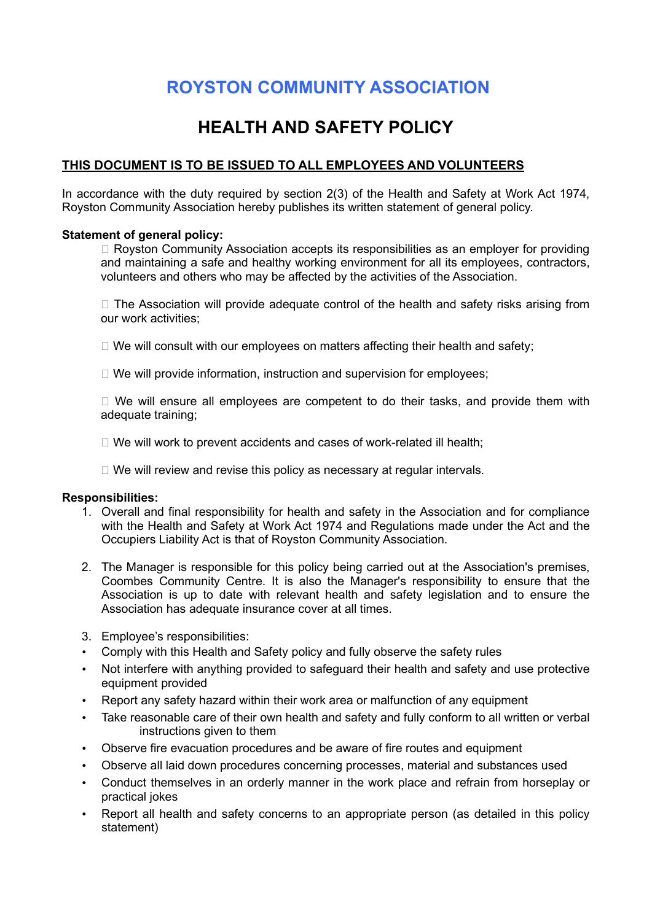# ROYSTON COMMUNITY ASSOCIATION

## HEALTH AND SAFETY POLICY

## THIS DOCUMENT IS TO BE ISSUED TO ALL EMPLOYEES AND VOLUNTEERS

In accordance with the duty required by section 2(3) of the Health and Safety at Work Act 1974, Royston Community Association hereby publishes its written statement of general policy.

#### Statement of general policy:

 $\Box$  Royston Community Association accepts its responsibilities as an employer for providing and maintaining a safe and healthy working environment for all its employees, contractors, volunteers and others who may be affected by the activities of the Association.

 $\Box$  The Association will provide adequate control of the health and safety risks arising from our work activities;

 $\Box$  We will consult with our employees on matters affecting their health and safety;

 $\Box$  We will provide information, instruction and supervision for employees;

 $\Box$  We will ensure all employees are competent to do their tasks, and provide them with adequate training;

 $\Box$  We will work to prevent accidents and cases of work-related ill health;

 $\Box$  We will review and revise this policy as necessary at regular intervals.

#### Responsibilities:

- 1. Overall and final responsibility for health and safety in the Association and for compliance with the Health and Safety at Work Act 1974 and Regulations made under the Act and the Occupiers Liability Act is that of Royston Community Association.
- 2. The Manager is responsible for this policy being carried out at the Association's premises, Coombes Community Centre. It is also the Manager's responsibility to ensure that the Association is up to date with relevant health and safety legislation and to ensure the Association has adequate insurance cover at all times.
- 3. Employee's responsibilities:
- Comply with this Health and Safety policy and fully observe the safety rules
- Not interfere with anything provided to safeguard their health and safety and use protective equipment provided
- Report any safety hazard within their work area or malfunction of any equipment
- Take reasonable care of their own health and safety and fully conform to all written or verbal instructions given to them
- Observe fire evacuation procedures and be aware of fire routes and equipment
- Observe all laid down procedures concerning processes, material and substances used
- Conduct themselves in an orderly manner in the work place and refrain from horseplay or practical jokes
- Report all health and safety concerns to an appropriate person (as detailed in this policy statement)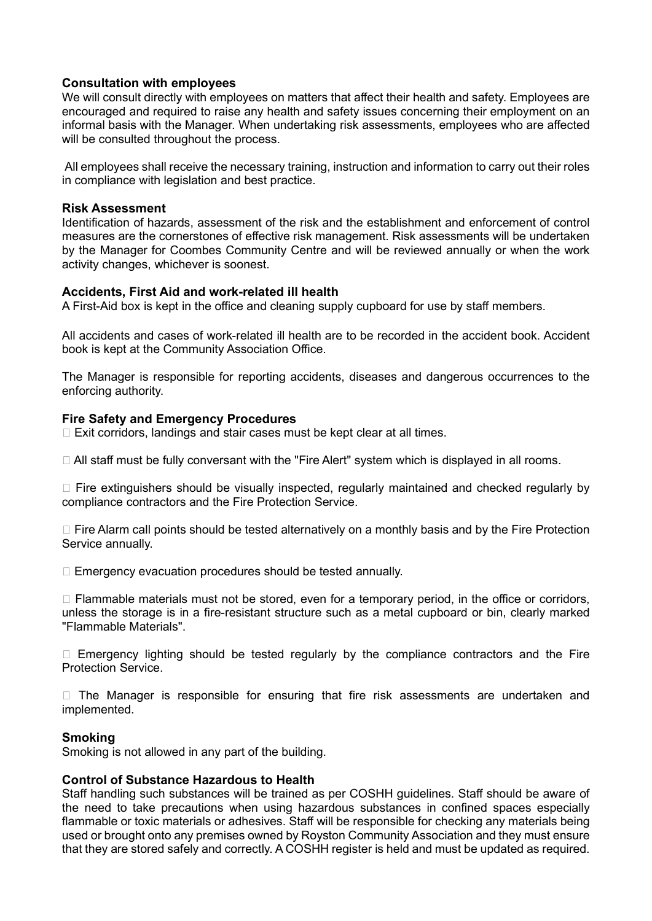#### Consultation with employees

We will consult directly with employees on matters that affect their health and safety. Employees are encouraged and required to raise any health and safety issues concerning their employment on an informal basis with the Manager. When undertaking risk assessments, employees who are affected will be consulted throughout the process.

 All employees shall receive the necessary training, instruction and information to carry out their roles in compliance with legislation and best practice.

#### Risk Assessment

Identification of hazards, assessment of the risk and the establishment and enforcement of control measures are the cornerstones of effective risk management. Risk assessments will be undertaken by the Manager for Coombes Community Centre and will be reviewed annually or when the work activity changes, whichever is soonest.

#### Accidents, First Aid and work-related ill health

A First-Aid box is kept in the office and cleaning supply cupboard for use by staff members.

All accidents and cases of work-related ill health are to be recorded in the accident book. Accident book is kept at the Community Association Office.

The Manager is responsible for reporting accidents, diseases and dangerous occurrences to the enforcing authority.

#### Fire Safety and Emergency Procedures

 $\Box$  Exit corridors, landings and stair cases must be kept clear at all times.

□ All staff must be fully conversant with the "Fire Alert" system which is displayed in all rooms.

 $\Box$  Fire extinguishers should be visually inspected, regularly maintained and checked regularly by compliance contractors and the Fire Protection Service.

□ Fire Alarm call points should be tested alternatively on a monthly basis and by the Fire Protection Service annually.

 $\Box$  Emergency evacuation procedures should be tested annually.

 $\Box$  Flammable materials must not be stored, even for a temporary period, in the office or corridors, unless the storage is in a fire-resistant structure such as a metal cupboard or bin, clearly marked "Flammable Materials".

 $\Box$  Emergency lighting should be tested regularly by the compliance contractors and the Fire Protection Service.

 $\Box$  The Manager is responsible for ensuring that fire risk assessments are undertaken and implemented.

## Smoking

Smoking is not allowed in any part of the building.

#### Control of Substance Hazardous to Health

Staff handling such substances will be trained as per COSHH guidelines. Staff should be aware of the need to take precautions when using hazardous substances in confined spaces especially flammable or toxic materials or adhesives. Staff will be responsible for checking any materials being used or brought onto any premises owned by Royston Community Association and they must ensure that they are stored safely and correctly. A COSHH register is held and must be updated as required.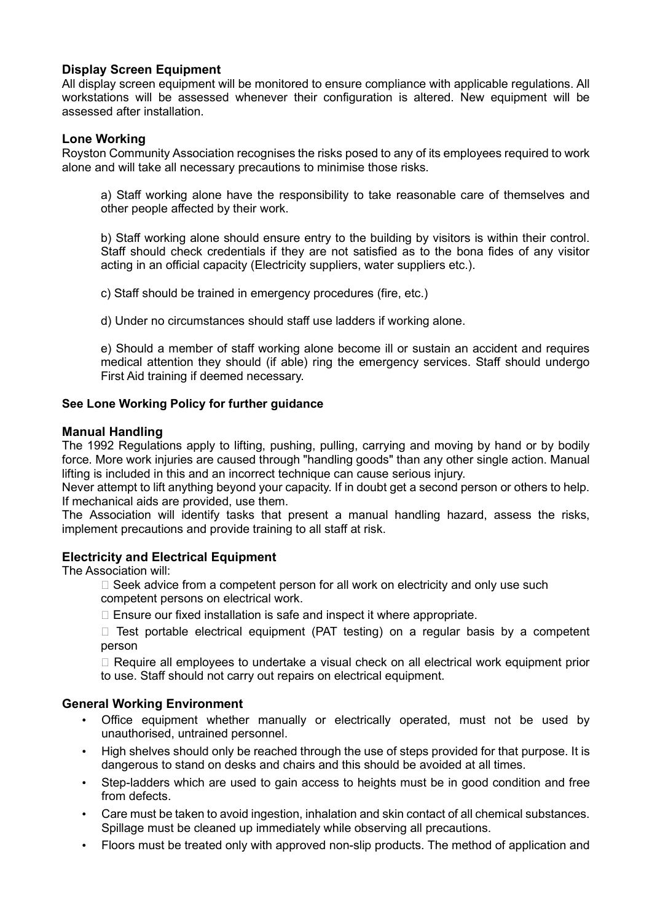## Display Screen Equipment

All display screen equipment will be monitored to ensure compliance with applicable regulations. All workstations will be assessed whenever their configuration is altered. New equipment will be assessed after installation.

#### Lone Working

Royston Community Association recognises the risks posed to any of its employees required to work alone and will take all necessary precautions to minimise those risks.

 a) Staff working alone have the responsibility to take reasonable care of themselves and other people affected by their work.

 b) Staff working alone should ensure entry to the building by visitors is within their control. Staff should check credentials if they are not satisfied as to the bona fides of any visitor acting in an official capacity (Electricity suppliers, water suppliers etc.).

c) Staff should be trained in emergency procedures (fire, etc.)

d) Under no circumstances should staff use ladders if working alone.

 e) Should a member of staff working alone become ill or sustain an accident and requires medical attention they should (if able) ring the emergency services. Staff should undergo First Aid training if deemed necessary.

#### See Lone Working Policy for further guidance

#### Manual Handling

The 1992 Regulations apply to lifting, pushing, pulling, carrying and moving by hand or by bodily force. More work injuries are caused through "handling goods" than any other single action. Manual lifting is included in this and an incorrect technique can cause serious injury.

Never attempt to lift anything beyond your capacity. If in doubt get a second person or others to help. If mechanical aids are provided, use them.

The Association will identify tasks that present a manual handling hazard, assess the risks, implement precautions and provide training to all staff at risk.

## Electricity and Electrical Equipment

The Association will:

 $\Box$  Seek advice from a competent person for all work on electricity and only use such competent persons on electrical work.

 $\Box$  Ensure our fixed installation is safe and inspect it where appropriate.

 $\Box$  Test portable electrical equipment (PAT testing) on a regular basis by a competent person

 $\Box$  Require all employees to undertake a visual check on all electrical work equipment prior to use. Staff should not carry out repairs on electrical equipment.

## General Working Environment

- Office equipment whether manually or electrically operated, must not be used by unauthorised, untrained personnel.
- High shelves should only be reached through the use of steps provided for that purpose. It is dangerous to stand on desks and chairs and this should be avoided at all times.
- Step-ladders which are used to gain access to heights must be in good condition and free from defects.
- Care must be taken to avoid ingestion, inhalation and skin contact of all chemical substances. Spillage must be cleaned up immediately while observing all precautions.
- Floors must be treated only with approved non-slip products. The method of application and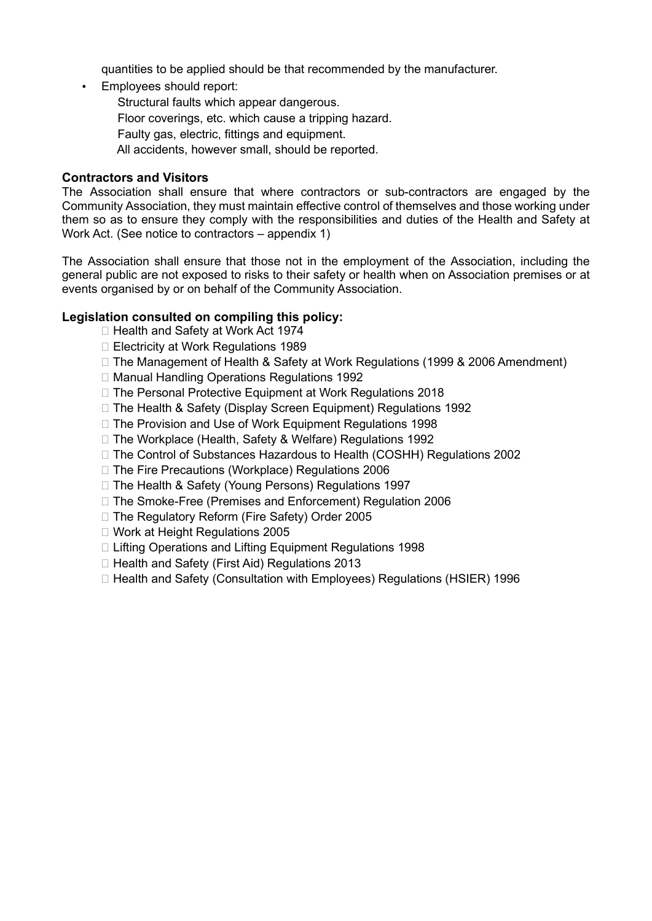quantities to be applied should be that recommended by the manufacturer.

• Employees should report:

- Structural faults which appear dangerous.
- Floor coverings, etc. which cause a tripping hazard.
- Faulty gas, electric, fittings and equipment.
- All accidents, however small, should be reported.

#### Contractors and Visitors

The Association shall ensure that where contractors or sub-contractors are engaged by the Community Association, they must maintain effective control of themselves and those working under them so as to ensure they comply with the responsibilities and duties of the Health and Safety at Work Act. (See notice to contractors – appendix 1)

The Association shall ensure that those not in the employment of the Association, including the general public are not exposed to risks to their safety or health when on Association premises or at events organised by or on behalf of the Community Association.

## Legislation consulted on compiling this policy:

- □ Health and Safety at Work Act 1974
- $\Box$  Electricity at Work Regulations 1989
- $\Box$  The Management of Health & Safety at Work Regulations (1999 & 2006 Amendment)
- □ Manual Handling Operations Regulations 1992
- $\Box$  The Personal Protective Equipment at Work Regulations 2018
- □ The Health & Safety (Display Screen Equipment) Regulations 1992
- □ The Provision and Use of Work Equipment Regulations 1998
- □ The Workplace (Health, Safety & Welfare) Regulations 1992
- $\Box$  The Control of Substances Hazardous to Health (COSHH) Regulations 2002
- □ The Fire Precautions (Workplace) Regulations 2006
- □ The Health & Safety (Young Persons) Regulations 1997
- □ The Smoke-Free (Premises and Enforcement) Regulation 2006
- □ The Regulatory Reform (Fire Safety) Order 2005
- □ Work at Height Regulations 2005
- □ Lifting Operations and Lifting Equipment Regulations 1998
- $\Box$  Health and Safety (First Aid) Regulations 2013
- □ Health and Safety (Consultation with Employees) Regulations (HSIER) 1996